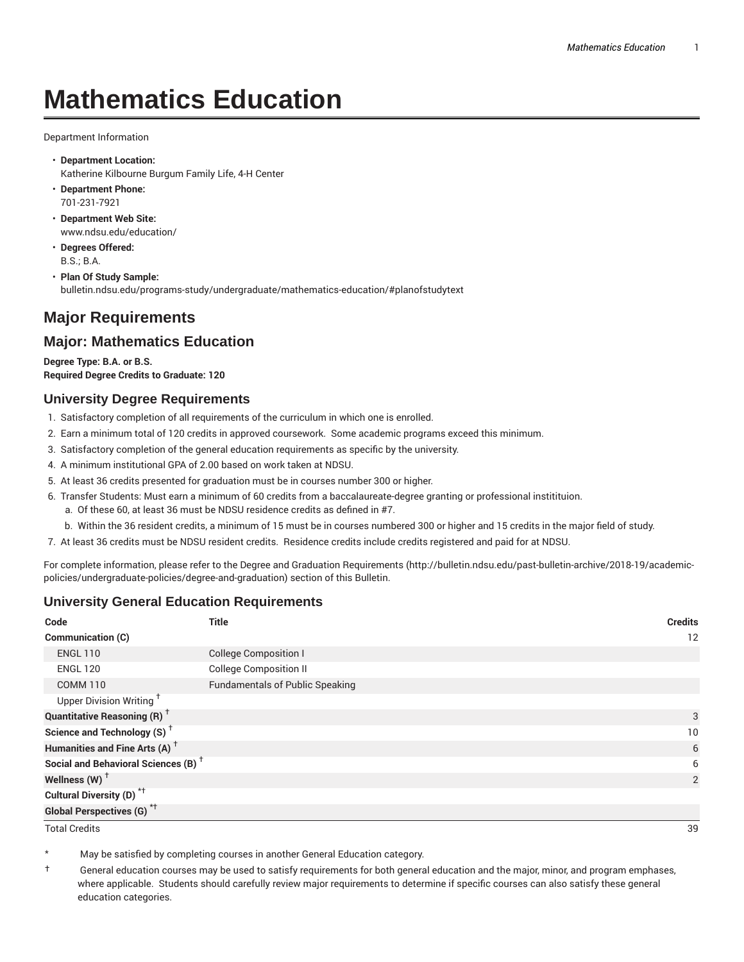# **Mathematics Education**

Department Information

- **Department Location:** Katherine Kilbourne Burgum Family Life, 4-H Center
- **Department Phone:** 701-231-7921
- **Department Web Site:** www.ndsu.edu/education/
- **Degrees Offered:** B.S.; B.A.
- **Plan Of Study Sample:** bulletin.ndsu.edu/programs-study/undergraduate/mathematics-education/#planofstudytext

# **Major Requirements**

## **Major: Mathematics Education**

**Degree Type: B.A. or B.S. Required Degree Credits to Graduate: 120**

#### **University Degree Requirements**

- 1. Satisfactory completion of all requirements of the curriculum in which one is enrolled.
- 2. Earn a minimum total of 120 credits in approved coursework. Some academic programs exceed this minimum.
- 3. Satisfactory completion of the general education requirements as specific by the university.
- 4. A minimum institutional GPA of 2.00 based on work taken at NDSU.
- 5. At least 36 credits presented for graduation must be in courses number 300 or higher.
- 6. Transfer Students: Must earn a minimum of 60 credits from a baccalaureate-degree granting or professional institituion.
	- a. Of these 60, at least 36 must be NDSU residence credits as defined in #7.
	- b. Within the 36 resident credits, a minimum of 15 must be in courses numbered 300 or higher and 15 credits in the major field of study.
- 7. At least 36 credits must be NDSU resident credits. Residence credits include credits registered and paid for at NDSU.

For complete information, please refer to the Degree and Graduation Requirements (http://bulletin.ndsu.edu/past-bulletin-archive/2018-19/academicpolicies/undergraduate-policies/degree-and-graduation) section of this Bulletin.

## **University General Education Requirements**

| Code                                            | <b>Title</b>                           | <b>Credits</b> |
|-------------------------------------------------|----------------------------------------|----------------|
| <b>Communication (C)</b>                        |                                        | 12             |
| <b>ENGL 110</b>                                 | <b>College Composition I</b>           |                |
| <b>ENGL 120</b>                                 | <b>College Composition II</b>          |                |
| <b>COMM 110</b>                                 | <b>Fundamentals of Public Speaking</b> |                |
| Upper Division Writing <sup>+</sup>             |                                        |                |
| <b>Quantitative Reasoning (R)</b> <sup>†</sup>  |                                        | 3              |
| Science and Technology (S) <sup>+</sup>         |                                        | 10             |
| Humanities and Fine Arts (A) <sup>+</sup>       |                                        | 6              |
| Social and Behavioral Sciences (B) <sup>+</sup> |                                        | 6              |
| Wellness $(W)$ <sup>+</sup>                     |                                        | 2              |
| Cultural Diversity (D) <sup>*†</sup>            |                                        |                |
| <b>Global Perspectives (G)<sup>*†</sup></b>     |                                        |                |

Total Credits 39

May be satisfied by completing courses in another General Education category.

† General education courses may be used to satisfy requirements for both general education and the major, minor, and program emphases, where applicable. Students should carefully review major requirements to determine if specific courses can also satisfy these general education categories.